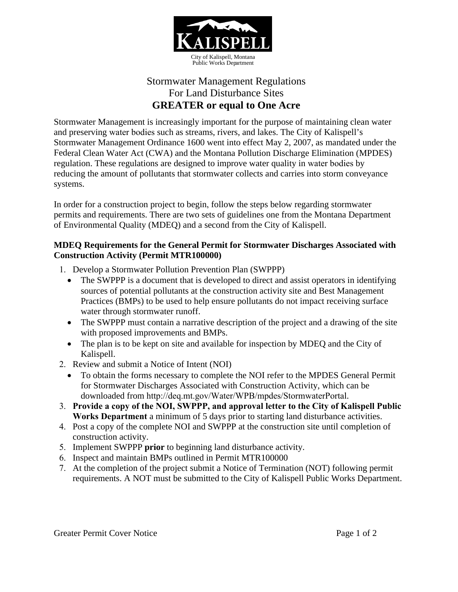

# Stormwater Management Regulations For Land Disturbance Sites **GREATER or equal to One Acre**

Stormwater Management is increasingly important for the purpose of maintaining clean water and preserving water bodies such as streams, rivers, and lakes. The City of Kalispell's Stormwater Management Ordinance 1600 went into effect May 2, 2007, as mandated under the Federal Clean Water Act (CWA) and the Montana Pollution Discharge Elimination (MPDES) regulation. These regulations are designed to improve water quality in water bodies by reducing the amount of pollutants that stormwater collects and carries into storm conveyance systems.

In order for a construction project to begin, follow the steps below regarding stormwater permits and requirements. There are two sets of guidelines one from the Montana Department of Environmental Quality (MDEQ) and a second from the City of Kalispell.

#### **MDEQ Requirements for the General Permit for Stormwater Discharges Associated with Construction Activity (Permit MTR100000)**

- 1. Develop a Stormwater Pollution Prevention Plan (SWPPP)
	- The SWPPP is a document that is developed to direct and assist operators in identifying sources of potential pollutants at the construction activity site and Best Management Practices (BMPs) to be used to help ensure pollutants do not impact receiving surface water through stormwater runoff.
	- The SWPPP must contain a narrative description of the project and a drawing of the site with proposed improvements and BMPs.
	- The plan is to be kept on site and available for inspection by MDEQ and the City of Kalispell.
- 2. Review and submit a Notice of Intent (NOI)
	- To obtain the forms necessary to complete the NOI refer to the MPDES General Permit for Stormwater Discharges Associated with Construction Activity, which can be downloaded from http://deq.mt.gov/Water/WPB/mpdes/StormwaterPortal.
- 3. **Provide a copy of the NOI, SWPPP, and approval letter to the City of Kalispell Public Works Department** a minimum of 5 days prior to starting land disturbance activities.
- 4. Post a copy of the complete NOI and SWPPP at the construction site until completion of construction activity.
- 5. Implement SWPPP **prior** to beginning land disturbance activity.
- 6. Inspect and maintain BMPs outlined in Permit MTR100000
- 7. At the completion of the project submit a Notice of Termination (NOT) following permit requirements. A NOT must be submitted to the City of Kalispell Public Works Department.